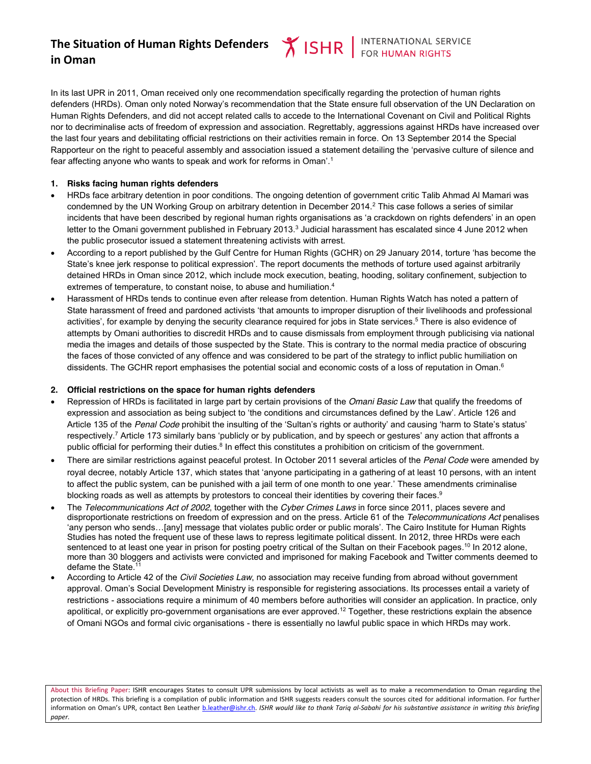**Y ISHR** FOR HUMAN RIGHTS

In its last UPR in 2011, Oman received only one recommendation specifically regarding the protection of human rights defenders (HRDs). Oman only noted Norway's recommendation that the State ensure full observation of the UN Declaration on Human Rights Defenders, and did not accept related calls to accede to the International Covenant on Civil and Political Rights nor to decriminalise acts of freedom of expression and association. Regrettably, aggressions against HRDs have increased over the last four years and debilitating official restrictions on their activities remain in force. On 13 September 2014 the Special Rapporteur on the right to peaceful assembly and association issued a statement detailing the 'pervasive culture of silence and fear affecting anyone who wants to speak and work for reforms in Oman'. 1

## **1. Risks facing human rights defenders**

- HRDs face arbitrary detention in poor conditions. The ongoing detention of government critic Talib Ahmad Al Mamari was condemned by the UN Working Group on arbitrary detention in December 2014.<sup>2</sup> This case follows a series of similar incidents that have been described by regional human rights organisations as 'a crackdown on rights defenders' in an open letter to the Omani government published in February 2013.<sup>3</sup> Judicial harassment has escalated since 4 June 2012 when the public prosecutor issued a statement threatening activists with arrest.
- x According to a report published by the Gulf Centre for Human Rights (GCHR) on 29 January 2014, torture 'has become the State's knee jerk response to political expression'. The report documents the methods of torture used against arbitrarily detained HRDs in Oman since 2012, which include mock execution, beating, hooding, solitary confinement, subjection to extremes of temperature, to constant noise, to abuse and humiliation.<sup>4</sup>
- Harassment of HRDs tends to continue even after release from detention. Human Rights Watch has noted a pattern of State harassment of freed and pardoned activists 'that amounts to improper disruption of their livelihoods and professional activities', for example by denying the security clearance required for jobs in State services. <sup>5</sup> There is also evidence of attempts by Omani authorities to discredit HRDs and to cause dismissals from employment through publicising via national media the images and details of those suspected by the State. This is contrary to the normal media practice of obscuring the faces of those convicted of any offence and was considered to be part of the strategy to inflict public humiliation on dissidents. The GCHR report emphasises the potential social and economic costs of a loss of reputation in Oman.<sup>6</sup>

### **2. Official restrictions on the space for human rights defenders**

- Repression of HRDs is facilitated in large part by certain provisions of the *Omani Basic Law* that qualify the freedoms of expression and association as being subject to 'the conditions and circumstances defined by the Law'. Article 126 and Article 135 of the *Penal Code* prohibit the insulting of the 'Sultan's rights or authority' and causing 'harm to State's status' respectively.7 Article 173 similarly bans 'publicly or by publication, and by speech or gestures' any action that affronts a public official for performing their duties.<sup>8</sup> In effect this constitutes a prohibition on criticism of the government.
- x There are similar restrictions against peaceful protest. In October 2011 several articles of the *Penal Code* were amended by royal decree, notably Article 137, which states that 'anyone participating in a gathering of at least 10 persons, with an intent to affect the public system, can be punished with a jail term of one month to one year.' These amendments criminalise blocking roads as well as attempts by protestors to conceal their identities by covering their faces.<sup>9</sup>
- x The *Telecommunications Act of 2002*, together with the *Cyber Crimes Laws* in force since 2011, places severe and disproportionate restrictions on freedom of expression and on the press. Article 61 of the *Telecommunications Act* penalises 'any person who sends…[any] message that violates public order or public morals'. The Cairo Institute for Human Rights Studies has noted the frequent use of these laws to repress legitimate political dissent. In 2012, three HRDs were each sentenced to at least one year in prison for posting poetry critical of the Sultan on their Facebook pages.<sup>10</sup> In 2012 alone, more than 30 bloggers and activists were convicted and imprisoned for making Facebook and Twitter comments deemed to defame the State.<sup>11</sup>
- x According to Article 42 of the *Civil Societies Law*, no association may receive funding from abroad without government approval. Oman's Social Development Ministry is responsible for registering associations. Its processes entail a variety of restrictions - associations require a minimum of 40 members before authorities will consider an application. In practice, only apolitical, or explicitly pro-government organisations are ever approved.<sup>12</sup> Together, these restrictions explain the absence of Omani NGOs and formal civic organisations - there is essentially no lawful public space in which HRDs may work.

About this Briefing Paper: ISHR encourages States to consult UPR submissions by local activists as well as to make a recommendation to Oman regarding the protection of HRDs. This briefing is a compilation of public information and ISHR suggests readers consult the sources cited for additional information. For further information on Oman's UPR, contact Ben Leather b.leather@ishr.ch. *ISHR would like to thank Tariq al-Sabahi for his substantive assistance in writing this briefing paper.*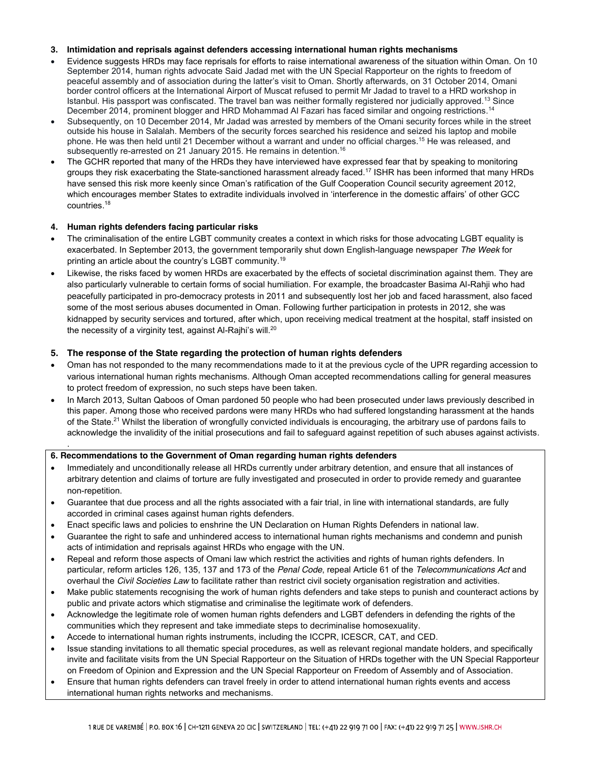### **3. Intimidation and reprisals against defenders accessing international human rights mechanisms**

- x Evidence suggests HRDs may face reprisals for efforts to raise international awareness of the situation within Oman. On 10 September 2014, human rights advocate Said Jadad met with the UN Special Rapporteur on the rights to freedom of peaceful assembly and of association during the latter's visit to Oman. Shortly afterwards, on 31 October 2014, Omani border control officers at the International Airport of Muscat refused to permit Mr Jadad to travel to a HRD workshop in Istanbul. His passport was confiscated. The travel ban was neither formally registered nor judicially approved.<sup>13</sup> Since December 2014, prominent blogger and HRD Mohammad Al Fazari has faced similar and ongoing restrictions.<sup>14</sup>
- Subsequently, on 10 December 2014, Mr Jadad was arrested by members of the Omani security forces while in the street outside his house in Salalah. Members of the security forces searched his residence and seized his laptop and mobile phone. He was then held until 21 December without a warrant and under no official charges.15 He was released, and subsequently re-arrested on 21 January 2015. He remains in detention.<sup>16</sup>
- The GCHR reported that many of the HRDs they have interviewed have expressed fear that by speaking to monitoring groups they risk exacerbating the State-sanctioned harassment already faced.17 ISHR has been informed that many HRDs have sensed this risk more keenly since Oman's ratification of the Gulf Cooperation Council security agreement 2012, which encourages member States to extradite individuals involved in 'interference in the domestic affairs' of other GCC countries. 18

## **4. Human rights defenders facing particular risks**

.

- The criminalisation of the entire LGBT community creates a context in which risks for those advocating LGBT equality is exacerbated. In September 2013, the government temporarily shut down English-language newspaper *The Week* for printing an article about the country's LGBT community.19
- Likewise, the risks faced by women HRDs are exacerbated by the effects of societal discrimination against them. They are also particularly vulnerable to certain forms of social humiliation. For example, the broadcaster Basima Al-Rahji who had peacefully participated in pro-democracy protests in 2011 and subsequently lost her job and faced harassment, also faced some of the most serious abuses documented in Oman. Following further participation in protests in 2012, she was kidnapped by security services and tortured, after which, upon receiving medical treatment at the hospital, staff insisted on the necessity of a virginity test, against Al-Rajhi's will.<sup>20</sup>

# **5. The response of the State regarding the protection of human rights defenders**

- Oman has not responded to the many recommendations made to it at the previous cycle of the UPR regarding accession to various international human rights mechanisms. Although Oman accepted recommendations calling for general measures to protect freedom of expression, no such steps have been taken.
- In March 2013, Sultan Qaboos of Oman pardoned 50 people who had been prosecuted under laws previously described in this paper. Among those who received pardons were many HRDs who had suffered longstanding harassment at the hands of the State.21 Whilst the liberation of wrongfully convicted individuals is encouraging, the arbitrary use of pardons fails to acknowledge the invalidity of the initial prosecutions and fail to safeguard against repetition of such abuses against activists.

### **6. Recommendations to the Government of Oman regarding human rights defenders**

- Immediately and unconditionally release all HRDs currently under arbitrary detention, and ensure that all instances of arbitrary detention and claims of torture are fully investigated and prosecuted in order to provide remedy and guarantee non-repetition.
- Guarantee that due process and all the rights associated with a fair trial, in line with international standards, are fully accorded in criminal cases against human rights defenders.
- Enact specific laws and policies to enshrine the UN Declaration on Human Rights Defenders in national law.
- Guarantee the right to safe and unhindered access to international human rights mechanisms and condemn and punish acts of intimidation and reprisals against HRDs who engage with the UN.
- Repeal and reform those aspects of Omani law which restrict the activities and rights of human rights defenders. In particular, reform articles 126, 135, 137 and 173 of the *Penal Code*, repeal Article 61 of the *Telecommunications Act* and overhaul the *Civil Societies Law* to facilitate rather than restrict civil society organisation registration and activities.
- Make public statements recognising the work of human rights defenders and take steps to punish and counteract actions by public and private actors which stigmatise and criminalise the legitimate work of defenders.
- Acknowledge the legitimate role of women human rights defenders and LGBT defenders in defending the rights of the communities which they represent and take immediate steps to decriminalise homosexuality.
- Accede to international human rights instruments, including the ICCPR, ICESCR, CAT, and CED.
- Issue standing invitations to all thematic special procedures, as well as relevant regional mandate holders, and specifically invite and facilitate visits from the UN Special Rapporteur on the Situation of HRDs together with the UN Special Rapporteur on Freedom of Opinion and Expression and the UN Special Rapporteur on Freedom of Assembly and of Association.
- Ensure that human rights defenders can travel freely in order to attend international human rights events and access international human rights networks and mechanisms.